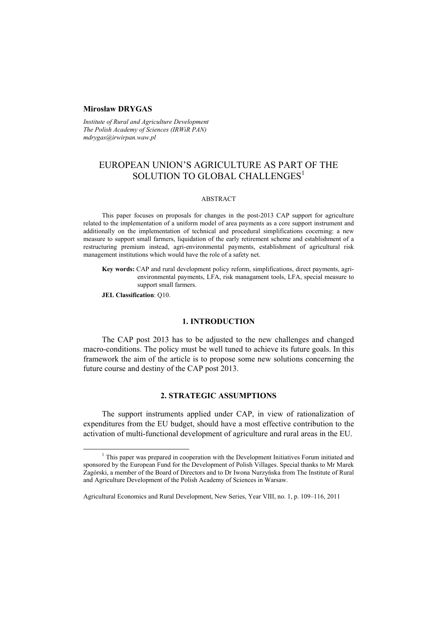#### **Mirosław DRYGAS**

*Institute of Rural and Agriculture Development The Polish Academy of Sciences (IRWiR PAN) mdrygas@irwirpan.waw.pl* 

# EUROPEAN UNION'S AGRICULTURE AS PART OF THE SOLUTION TO GLOBAL CHALLENGES<sup>1</sup>

### ABSTRACT

This paper focuses on proposals for changes in the post-2013 CAP support for agriculture related to the implementation of a uniform model of area payments as a core support instrument and additionally on the implementation of technical and procedural simplifications cocerning: a new measure to support small farmers, liquidation of the early retirement scheme and establishment of a restructuring premium instead, agri-environmental payments, establishment of agricultural risk management institutions which would have the role of a safety net.

**Key words:** CAP and rural development policy reform, simplifications, direct payments, agrienvironmental payments, LFA, risk managament tools, LFA, special measure to support small farmers.

**JEL Classification**: Q10.

#### **1. INTRODUCTION**

The CAP post 2013 has to be adjusted to the new challenges and changed macro-conditions. The policy must be well tuned to achieve its future goals. In this framework the aim of the article is to propose some new solutions concerning the future course and destiny of the CAP post 2013.

## **2. STRATEGIC ASSUMPTIONS**

The support instruments applied under CAP, in view of rationalization of expenditures from the EU budget, should have a most effective contribution to the activation of multi-functional development of agriculture and rural areas in the EU.

 $\frac{1}{1}$  $1$ . This paper was prepared in cooperation with the Development Initiatives Forum initiated and sponsored by the European Fund for the Development of Polish Villages. Special thanks to Mr Marek Zagórski, a member of the Board of Directors and to Dr Iwona Nurzyńska from The Institute of Rural and Agriculture Development of the Polish Academy of Sciences in Warsaw.

Agricultural Economics and Rural Development, New Series, Year VIII, no. 1, p. 109–116, 2011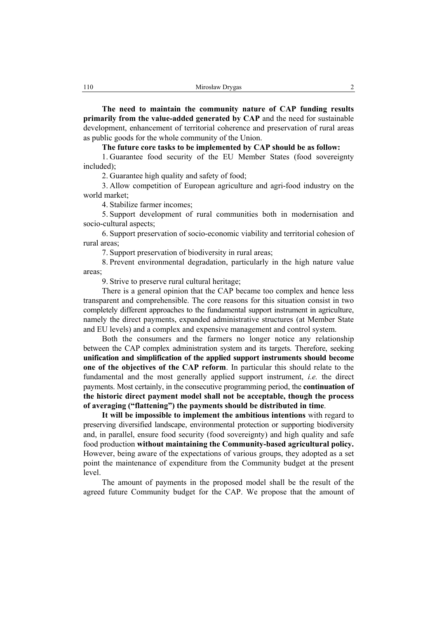**The need to maintain the community nature of CAP funding results primarily from the value-added generated by CAP** and the need for sustainable development, enhancement of territorial coherence and preservation of rural areas as public goods for the whole community of the Union.

**The future core tasks to be implemented by CAP should be as follow:** 

1. Guarantee food security of the EU Member States (food sovereignty included);

2. Guarantee high quality and safety of food;

3. Allow competition of European agriculture and agri-food industry on the world market;

4. Stabilize farmer incomes;

5. Support development of rural communities both in modernisation and socio-cultural aspects;

6. Support preservation of socio-economic viability and territorial cohesion of rural areas;

7. Support preservation of biodiversity in rural areas;

8. Prevent environmental degradation, particularly in the high nature value areas;

9. Strive to preserve rural cultural heritage;

There is a general opinion that the CAP became too complex and hence less transparent and comprehensible. The core reasons for this situation consist in two completely different approaches to the fundamental support instrument in agriculture, namely the direct payments, expanded administrative structures (at Member State and EU levels) and a complex and expensive management and control system.

Both the consumers and the farmers no longer notice any relationship between the CAP complex administration system and its targets. Therefore, seeking **unification and simplification of the applied support instruments should become one of the objectives of the CAP reform**. In particular this should relate to the fundamental and the most generally applied support instrument, *i.e.* the direct payments. Most certainly, in the consecutive programming period, the **continuation of the historic direct payment model shall not be acceptable, though the process of averaging ("flattening") the payments should be distributed in time**.

**It will be impossible to implement the ambitious intentions** with regard to preserving diversified landscape, environmental protection or supporting biodiversity and, in parallel, ensure food security (food sovereignty) and high quality and safe food production **without maintaining the Community-based agricultural policy.** However, being aware of the expectations of various groups, they adopted as a set point the maintenance of expenditure from the Community budget at the present level.

The amount of payments in the proposed model shall be the result of the agreed future Community budget for the CAP. We propose that the amount of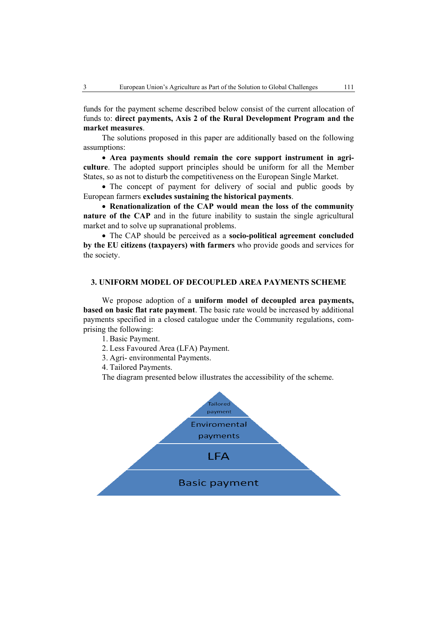funds for the payment scheme described below consist of the current allocation of funds to: **direct payments, Axis 2 of the Rural Development Program and the market measures**.

The solutions proposed in this paper are additionally based on the following assumptions:

• **Area payments should remain the core support instrument in agriculture**. The adopted support principles should be uniform for all the Member States, so as not to disturb the competitiveness on the European Single Market.

• The concept of payment for delivery of social and public goods by European farmers **excludes sustaining the historical payments**.

• **Renationalization of the CAP would mean the loss of the community nature of the CAP** and in the future inability to sustain the single agricultural market and to solve up supranational problems.

• The CAP should be perceived as a **socio-political agreement concluded by the EU citizens (taxpayers) with farmers** who provide goods and services for the society.

## **3. UNIFORM MODEL OF DECOUPLED AREA PAYMENTS SCHEME**

We propose adoption of a **uniform model of decoupled area payments, based on basic flat rate payment**. The basic rate would be increased by additional payments specified in a closed catalogue under the Community regulations, comprising the following:

1. Basic Payment.

2. Less Favoured Area (LFA) Payment.

3. Agri- environmental Payments.

4. Tailored Payments.

The diagram presented below illustrates the accessibility of the scheme.

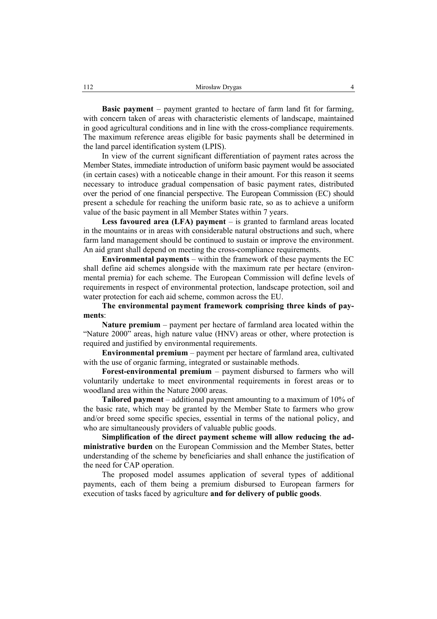**Basic payment** – payment granted to hectare of farm land fit for farming, with concern taken of areas with characteristic elements of landscape, maintained in good agricultural conditions and in line with the cross-compliance requirements. The maximum reference areas eligible for basic payments shall be determined in the land parcel identification system (LPIS).

In view of the current significant differentiation of payment rates across the Member States, immediate introduction of uniform basic payment would be associated (in certain cases) with a noticeable change in their amount. For this reason it seems necessary to introduce gradual compensation of basic payment rates, distributed over the period of one financial perspective. The European Commission (EC) should present a schedule for reaching the uniform basic rate, so as to achieve a uniform value of the basic payment in all Member States within 7 years.

**Less favoured area (LFA) payment** – is granted to farmland areas located in the mountains or in areas with considerable natural obstructions and such, where farm land management should be continued to sustain or improve the environment. An aid grant shall depend on meeting the cross-compliance requirements.

**Environmental payments** – within the framework of these payments the EC shall define aid schemes alongside with the maximum rate per hectare (environmental premia) for each scheme. The European Commission will define levels of requirements in respect of environmental protection, landscape protection, soil and water protection for each aid scheme, common across the EU.

**The environmental payment framework comprising three kinds of payments**:

**Nature premium** – payment per hectare of farmland area located within the "Nature 2000" areas, high nature value (HNV) areas or other, where protection is required and justified by environmental requirements.

**Environmental premium** – payment per hectare of farmland area, cultivated with the use of organic farming, integrated or sustainable methods.

**Forest-environmental premium** – payment disbursed to farmers who will voluntarily undertake to meet environmental requirements in forest areas or to woodland area within the Nature 2000 areas.

**Tailored payment** – additional payment amounting to a maximum of 10% of the basic rate, which may be granted by the Member State to farmers who grow and/or breed some specific species, essential in terms of the national policy, and who are simultaneously providers of valuable public goods.

**Simplification of the direct payment scheme will allow reducing the administrative burden** on the European Commission and the Member States, better understanding of the scheme by beneficiaries and shall enhance the justification of the need for CAP operation.

The proposed model assumes application of several types of additional payments, each of them being a premium disbursed to European farmers for execution of tasks faced by agriculture **and for delivery of public goods**.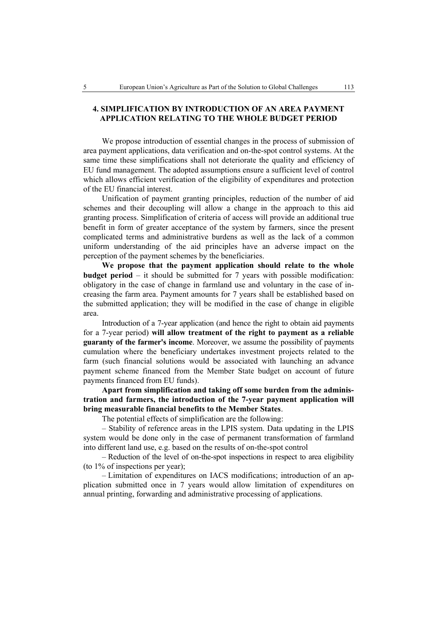## **4. SIMPLIFICATION BY INTRODUCTION OF AN AREA PAYMENT APPLICATION RELATING TO THE WHOLE BUDGET PERIOD**

We propose introduction of essential changes in the process of submission of area payment applications, data verification and on-the-spot control systems. At the same time these simplifications shall not deteriorate the quality and efficiency of EU fund management. The adopted assumptions ensure a sufficient level of control which allows efficient verification of the eligibility of expenditures and protection of the EU financial interest.

Unification of payment granting principles, reduction of the number of aid schemes and their decoupling will allow a change in the approach to this aid granting process. Simplification of criteria of access will provide an additional true benefit in form of greater acceptance of the system by farmers, since the present complicated terms and administrative burdens as well as the lack of a common uniform understanding of the aid principles have an adverse impact on the perception of the payment schemes by the beneficiaries.

**We propose that the payment application should relate to the whole budget period** – it should be submitted for 7 years with possible modification: obligatory in the case of change in farmland use and voluntary in the case of increasing the farm area. Payment amounts for 7 years shall be established based on the submitted application; they will be modified in the case of change in eligible area.

Introduction of a 7-year application (and hence the right to obtain aid payments for a 7-year period) **will allow treatment of the right to payment as a reliable guaranty of the farmer's income**. Moreover, we assume the possibility of payments cumulation where the beneficiary undertakes investment projects related to the farm (such financial solutions would be associated with launching an advance payment scheme financed from the Member State budget on account of future payments financed from EU funds).

**Apart from simplification and taking off some burden from the administration and farmers, the introduction of the 7-year payment application will bring measurable financial benefits to the Member States**.

The potential effects of simplification are the following:

– Stability of reference areas in the LPIS system. Data updating in the LPIS system would be done only in the case of permanent transformation of farmland into different land use, e.g. based on the results of on-the-spot control

– Reduction of the level of on-the-spot inspections in respect to area eligibility (to 1% of inspections per year);

– Limitation of expenditures on IACS modifications; introduction of an application submitted once in 7 years would allow limitation of expenditures on annual printing, forwarding and administrative processing of applications.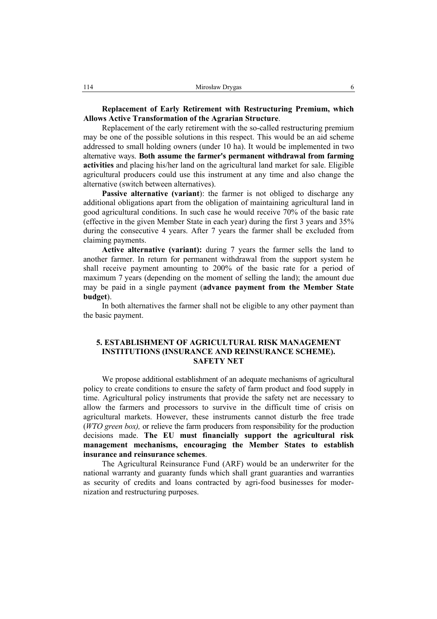**Replacement of Early Retirement with Restructuring Premium, which Allows Active Transformation of the Agrarian Structure**.

Replacement of the early retirement with the so-called restructuring premium may be one of the possible solutions in this respect. This would be an aid scheme addressed to small holding owners (under 10 ha). It would be implemented in two alternative ways. **Both assume the farmer's permanent withdrawal from farming activities** and placing his/her land on the agricultural land market for sale. Eligible agricultural producers could use this instrument at any time and also change the alternative (switch between alternatives).

**Passive alternative (variant**): the farmer is not obliged to discharge any additional obligations apart from the obligation of maintaining agricultural land in good agricultural conditions. In such case he would receive 70% of the basic rate (effective in the given Member State in each year) during the first 3 years and 35% during the consecutive 4 years. After 7 years the farmer shall be excluded from claiming payments.

**Active alternative (variant):** during 7 years the farmer sells the land to another farmer. In return for permanent withdrawal from the support system he shall receive payment amounting to 200% of the basic rate for a period of maximum 7 years (depending on the moment of selling the land); the amount due may be paid in a single payment (**advance payment from the Member State budget**).

In both alternatives the farmer shall not be eligible to any other payment than the basic payment.

## **5. ESTABLISHMENT OF AGRICULTURAL RISK MANAGEMENT INSTITUTIONS (INSURANCE AND REINSURANCE SCHEME). SAFETY NET**

We propose additional establishment of an adequate mechanisms of agricultural policy to create conditions to ensure the safety of farm product and food supply in time. Agricultural policy instruments that provide the safety net are necessary to allow the farmers and processors to survive in the difficult time of crisis on agricultural markets. However, these instruments cannot disturb the free trade (*WTO green box),* or relieve the farm producers from responsibility for the production decisions made. **The EU must financially support the agricultural risk management mechanisms, encouraging the Member States to establish insurance and reinsurance schemes**.

The Agricultural Reinsurance Fund (ARF) would be an underwriter for the national warranty and guaranty funds which shall grant guaranties and warranties as security of credits and loans contracted by agri-food businesses for modernization and restructuring purposes.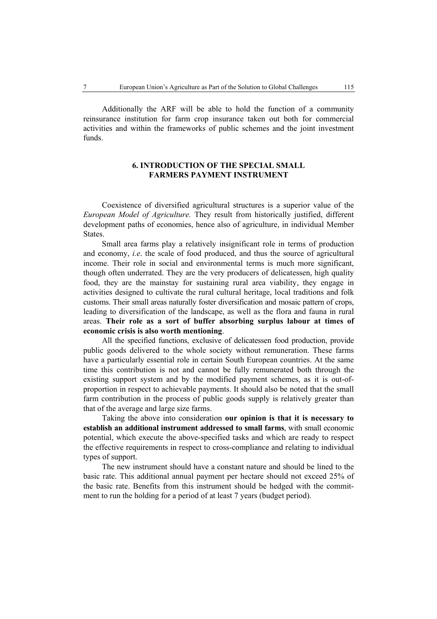Additionally the ARF will be able to hold the function of a community reinsurance institution for farm crop insurance taken out both for commercial activities and within the frameworks of public schemes and the joint investment funds.

## **6. INTRODUCTION OF THE SPECIAL SMALL FARMERS PAYMENT INSTRUMENT**

Coexistence of diversified agricultural structures is a superior value of the *European Model of Agriculture.* They result from historically justified, different development paths of economies, hence also of agriculture, in individual Member **States**.

Small area farms play a relatively insignificant role in terms of production and economy, *i.e*. the scale of food produced, and thus the source of agricultural income. Their role in social and environmental terms is much more significant, though often underrated. They are the very producers of delicatessen, high quality food, they are the mainstay for sustaining rural area viability, they engage in activities designed to cultivate the rural cultural heritage, local traditions and folk customs. Their small areas naturally foster diversification and mosaic pattern of crops, leading to diversification of the landscape, as well as the flora and fauna in rural areas. **Their role as a sort of buffer absorbing surplus labour at times of economic crisis is also worth mentioning**.

All the specified functions, exclusive of delicatessen food production, provide public goods delivered to the whole society without remuneration. These farms have a particularly essential role in certain South European countries. At the same time this contribution is not and cannot be fully remunerated both through the existing support system and by the modified payment schemes, as it is out-ofproportion in respect to achievable payments. It should also be noted that the small farm contribution in the process of public goods supply is relatively greater than that of the average and large size farms.

Taking the above into consideration **our opinion is that it is necessary to establish an additional instrument addressed to small farms**, with small economic potential, which execute the above-specified tasks and which are ready to respect the effective requirements in respect to cross-compliance and relating to individual types of support.

The new instrument should have a constant nature and should be lined to the basic rate. This additional annual payment per hectare should not exceed 25% of the basic rate. Benefits from this instrument should be hedged with the commitment to run the holding for a period of at least 7 years (budget period).